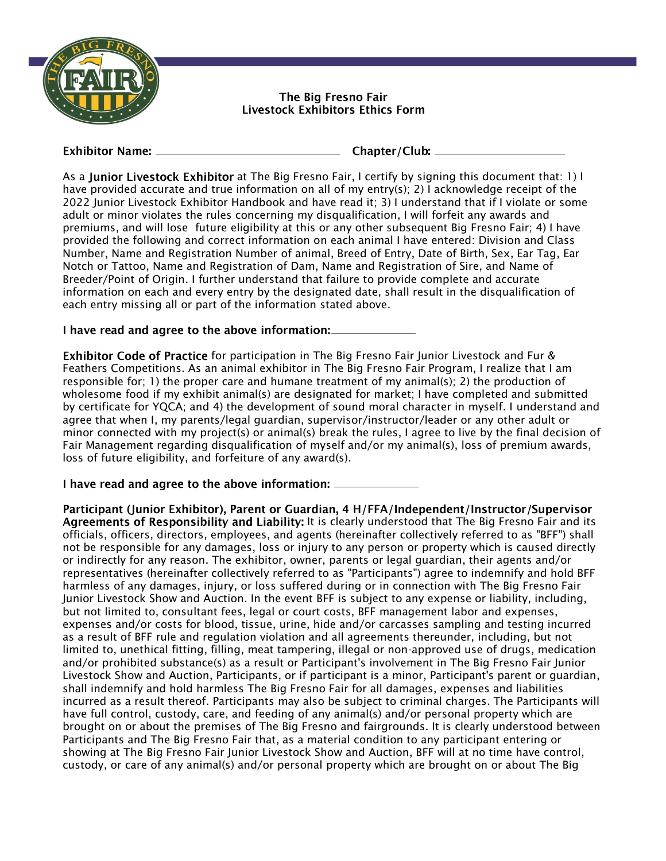

The Bia Fresno Fair Livestock Exhibitors Ethics Form

#### **Exhibitor Name:** \_

Chapter/Club: \_\_\_\_\_\_

As a Junior Livestock Exhibitor at The Big Fresno Fair, I certify by signing this document that: 1) I have provided accurate and true information on all of my entry(s); 2) I acknowledge receipt of the 2022 Junior Livestock Exhibitor Handbook and have read it; 3) I understand that if I violate or some adult or minor violates the rules concerning my disqualification, I will forfeit any awards and premiums, and will lose future eligibility at this or any other subsequent Big Fresno Fair; 4) I have provided the following and correct information on each animal I have entered: Division and Class Number, Name and Registration Number of animal, Breed of Entry, Date of Birth, Sex, Ear Tag, Ear Notch or Tattoo, Name and Registration of Dam, Name and Registration of Sire, and Name of Breeder/Point of Origin. I further understand that failure to provide complete and accurate information on each and every entry by the designated date, shall result in the disqualification of each entry missing all or part of the information stated above.

## I have read and agree to the above information:

Exhibitor Code of Practice for participation in The Big Fresno Fair Junior Livestock and Fur & Feathers Competitions. As an animal exhibitor in The Big Fresno Fair Program, I realize that I am responsible for; 1) the proper care and humane treatment of my animal(s); 2) the production of wholesome food if my exhibit animal(s) are designated for market; I have completed and submitted by certificate for YQCA; and 4) the development of sound moral character in myself. I understand and agree that when I, my parents/legal guardian, supervisor/instructor/leader or any other adult or minor connected with my project(s) or animal(s) break the rules, I agree to live by the final decision of Fair Management regarding disqualification of myself and/or my animal(s), loss of premium awards, loss of future eligibility, and forfeiture of any award(s).

#### I have read and agree to the above information: \_\_\_\_\_\_\_\_\_

Participant (Junior Exhibitor), Parent or Guardian, 4 H/FFA/Independent/Instructor/Supervisor Agreements of Responsibility and Liability: It is clearly understood that The Big Fresno Fair and its officials, officers, directors, employees, and agents (hereinafter collectively referred to as "BFF") shall not be responsible for any damages, loss or injury to any person or property which is caused directly or indirectly for any reason. The exhibitor, owner, parents or legal guardian, their agents and/or representatives (hereinafter collectively referred to as "Participants") agree to indemnify and hold BFF harmless of any damages, injury, or loss suffered during or in connection with The Big Fresno Fair Junior Livestock Show and Auction. In the event BFF is subject to any expense or liability, including, but not limited to, consultant fees, legal or court costs, BFF management labor and expenses, expenses and/or costs for blood, tissue, urine, hide and/or carcasses sampling and testing incurred as a result of BFF rule and regulation violation and all agreements thereunder, including, but not limited to, unethical fitting, filling, meat tampering, illegal or non-approved use of drugs, medication and/or prohibited substance(s) as a result or Participant's involvement in The Big Fresno Fair Junior Livestock Show and Auction, Participants, or if participant is a minor, Participant's parent or guardian, shall indemnify and hold harmless The Big Fresno Fair for all damages, expenses and liabilities incurred as a result thereof. Participants may also be subject to criminal charges. The Participants will have full control, custody, care, and feeding of any animal(s) and/or personal property which are brought on or about the premises of The Big Fresno and fairgrounds. It is clearly understood between Participants and The Big Fresno Fair that, as a material condition to any participant entering or showing at The Big Fresno Fair Junior Livestock Show and Auction, BFF will at no time have control, custody, or care of any animal(s) and/or personal property which are brought on or about The Big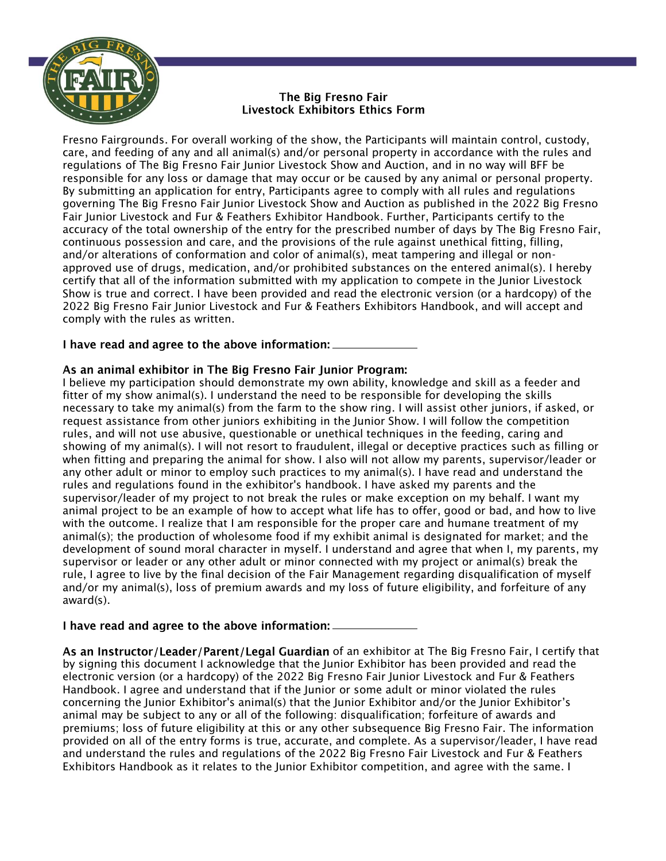

# The Bia Fresno Fair **Livestock Exhibitors Ethics Form**

Fresno Fairgrounds. For overall working of the show, the Participants will maintain control, custody, care, and feeding of any and all animal(s) and/or personal property in accordance with the rules and regulations of The Big Fresno Fair Junior Livestock Show and Auction, and in no way will BFF be responsible for any loss or damage that may occur or be caused by any animal or personal property. By submitting an application for entry, Participants agree to comply with all rules and regulations governing The Big Fresno Fair Junior Livestock Show and Auction as published in the 2022 Big Fresno Fair Junior Livestock and Fur & Feathers Exhibitor Handbook. Further, Participants certify to the accuracy of the total ownership of the entry for the prescribed number of days by The Big Fresno Fair, continuous possession and care, and the provisions of the rule against unethical fitting, filling, and/or alterations of conformation and color of animal(s), meat tampering and illegal or nonapproved use of drugs, medication, and/or prohibited substances on the entered animal(s). I hereby certify that all of the information submitted with my application to compete in the Junior Livestock Show is true and correct. I have been provided and read the electronic version (or a hardcopy) of the 2022 Big Fresno Fair Junior Livestock and Fur & Feathers Exhibitors Handbook, and will accept and comply with the rules as written.

## I have read and agree to the above information:  $\equiv$

### As an animal exhibitor in The Big Fresno Fair Junior Program:

I believe my participation should demonstrate my own ability, knowledge and skill as a feeder and fitter of my show animal(s). I understand the need to be responsible for developing the skills necessary to take my animal(s) from the farm to the show ring. I will assist other juniors, if asked, or request assistance from other juniors exhibiting in the Junior Show. I will follow the competition rules, and will not use abusive, questionable or unethical techniques in the feeding, caring and showing of my animal(s). I will not resort to fraudulent, illegal or deceptive practices such as filling or when fitting and preparing the animal for show. I also will not allow my parents, supervisor/leader or any other adult or minor to employ such practices to my animal(s). I have read and understand the rules and regulations found in the exhibitor's handbook. I have asked my parents and the supervisor/leader of my project to not break the rules or make exception on my behalf. I want my animal project to be an example of how to accept what life has to offer, good or bad, and how to live with the outcome. I realize that I am responsible for the proper care and humane treatment of my animal(s); the production of wholesome food if my exhibit animal is designated for market; and the development of sound moral character in myself. I understand and agree that when I, my parents, my supervisor or leader or any other adult or minor connected with my project or animal(s) break the rule, I agree to live by the final decision of the Fair Management regarding disqualification of myself and/or my animal(s), loss of premium awards and my loss of future eligibility, and forfeiture of any award(s).

#### I have read and agree to the above information: \_\_\_\_\_\_\_\_\_\_\_

As an Instructor/Leader/Parent/Legal Guardian of an exhibitor at The Big Fresno Fair, I certify that by signing this document I acknowledge that the Junior Exhibitor has been provided and read the electronic version (or a hardcopy) of the 2022 Big Fresno Fair Junior Livestock and Fur & Feathers Handbook. I agree and understand that if the Junior or some adult or minor violated the rules concerning the Junior Exhibitor's animal(s) that the Junior Exhibitor and/or the Junior Exhibitor's animal may be subject to any or all of the following: disqualification; forfeiture of awards and premiums; loss of future eligibility at this or any other subsequence Big Fresno Fair. The information provided on all of the entry forms is true, accurate, and complete. As a supervisor/leader, I have read and understand the rules and regulations of the 2022 Big Fresno Fair Livestock and Fur & Feathers Exhibitors Handbook as it relates to the Junior Exhibitor competition, and agree with the same. I